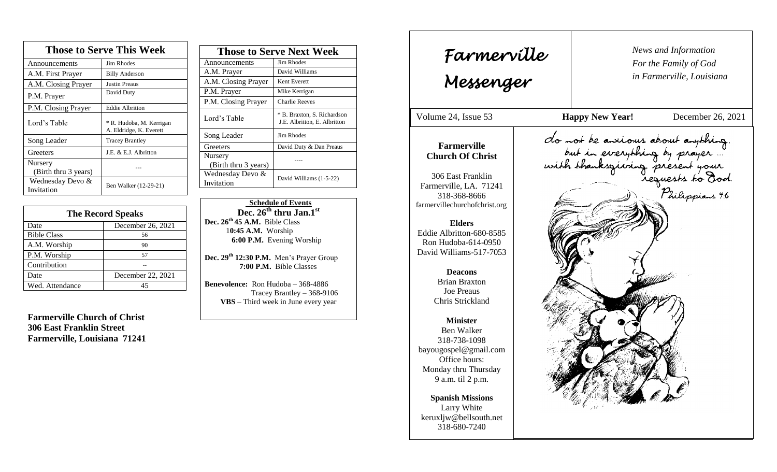| <b>Those to Serve This Week</b> |                                                     |  |
|---------------------------------|-----------------------------------------------------|--|
| Announcements                   | Jim Rhodes                                          |  |
| A.M. First Prayer               | <b>Billy Anderson</b>                               |  |
| A.M. Closing Prayer             | Justin Preaus                                       |  |
| P.M. Prayer                     | David Duty                                          |  |
| P.M. Closing Prayer             | <b>Eddie Albritton</b>                              |  |
| Lord's Table                    | * R. Hudoba, M. Kerrigan<br>A. Eldridge, K. Everett |  |
| Song Leader                     | <b>Tracey Brantley</b>                              |  |
| Greeters                        | J.E. & E.J. Albritton                               |  |
| Nursery<br>(Birth thru 3 years) |                                                     |  |
| Wednesday Devo &<br>Invitation  | Ben Walker (12-29-21)                               |  |

| <b>The Record Speaks</b> |                   |
|--------------------------|-------------------|
| Date                     | December 26, 2021 |
| <b>Bible Class</b>       | 56                |
| A.M. Worship             | 90                |
| P.M. Worship             | 57                |
| Contribution             |                   |
| Date                     | December 22, 2021 |
| Wed. Attendance          | 45                |

**Farmerville Church of Christ 306 East Franklin Street Farmerville, Louisiana 71241**

| <b>Those to Serve Next Week</b> |                                                             |
|---------------------------------|-------------------------------------------------------------|
| Announcements                   | Jim Rhodes                                                  |
| A.M. Prayer                     | David Williams                                              |
| A.M. Closing Prayer             | Kent Everett                                                |
| P.M. Prayer                     | Mike Kerrigan                                               |
| P.M. Closing Prayer             | <b>Charlie Reeves</b>                                       |
| Lord's Table                    | * B. Braxton, S. Richardson<br>J.E. Albritton, E. Albritton |
| Song Leader                     | Jim Rhodes                                                  |
| Greeters                        | David Duty & Dan Preaus                                     |
| Nursery<br>(Birth thru 3 years) |                                                             |
| Wednesday Devo &<br>Invitation  | David Williams (1-5-22)                                     |

 **Schedule of Events**  $Dec. 26<sup>th</sup>$  **thru Jan.**<sup>1st</sup> **Dec. 26th 45 A.M.** Bible Class 1**0:45 A.M.** Worship  **6:00 P.M.** Evening Worship

**Dec. 29th 12:30 P.M.** Men's Prayer Group **7:00 P.M.** Bible Classes

**Benevolence:** Ron Hudoba – 368-4886 Tracey Brantley – 368-9106 **VBS** – Third week in June every year

*News and Information* **Farmerville**  $\begin{bmatrix} \text{News an} \\ \text{For the} \end{bmatrix}$ *For the Family of God in Farmerville, Louisiana Messenger*  Volume 24, Issue 53 **Happy New Year!** December 26, 2021 , 2015<br>, 2015<br>, 2015<br>, 2015<br>, 2015<br>, 2015<br>, 2015<br>, 2015<br>, 2015<br>, 2015<br>, 2015<br>, 2015<br>, 2015<br>, 2015<br>, 2015<br>, 2015<br>, 2015<br>, 2015<br>, 2015<br><br><br><br><br><br><br><br><br><br><br><br><br><br><br><br><br><br><br><br><br><br><br><br><br><br><br><br> do not be anxious about anything. Oro not be anxious about anything,<br>but in everything by prayer ...<br>with thanksgiving present your<br>requests to Dod. **Farmerville Church Of Christ** 306 East Franklin Farmerville, LA. 71241 318-368-8666 farmervillechurchofchrist.org **Elders** Eddie Albritton-680-8585 Ron Hudoba-614-0950 David Williams-517-7053 **Deacons**  Brian Braxton Joe Preaus Chris Strickland **Minister** Ben Walker 318-738-1098 bayougospel@gmail.com Office hours: Monday thru Thursday 9 a.m. til 2 p.m. **Spanish Missions** Larry White keruxljw@bellsouth.net 318-680-7240